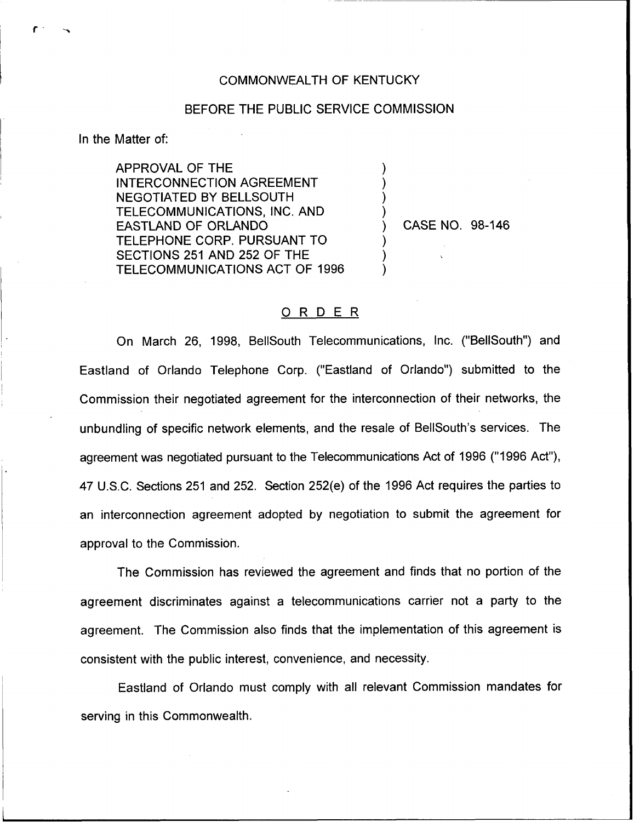## COMMONWEALTH OF KENTUCKY

## BEFORE THE PUBLIC SERVICE COMMISSION

) ) ) )

) ) )

In the Matter of:

APPROVAL OF THE INTERCONNECTION AGREEMENT NEGOTIATED BY BELLSOUTH TELECOMMUNICATIONS, INC. AND EASTLAND OF ORLANDO TELEPHONE CORP. PURSUANT TO SECTIONS 251 AND 252 OF THE TELECOMMUNICATIONS ACT OF 1996

) CASE NO. 98-146

## 0 <sup>R</sup> <sup>D</sup> <sup>E</sup> <sup>R</sup>

On March 26, 1998, BellSouth Telecommunications, lnc. ("BellSouth") and Eastland of Orlando Telephone Corp. ("Eastland of Orlando") submitted to the Commission their negotiated agreement for the interconnection of their networks, the unbundling of specific network elements, and the resale of BellSouth's services. The agreement was negotiated pursuant to the Telecommunications Act of 1996 ("1996 Act"), 47 U.S.C. Sections 251 and 252. Section 252(e) of the 1996 Act requires the parties to an interconnection agreement adopted by negotiation to submit the agreement for approval to the Commission.

The Commission has reviewed the agreement and finds that no portion of the agreement discriminates against a telecommunications carrier not a party to the agreement. The Commission also finds that the implementation of this agreement is consistent with the public interest, convenience, and necessity.

Eastland of Orlando must comply with all relevant Commission mandates for serving in this Commonwealth.